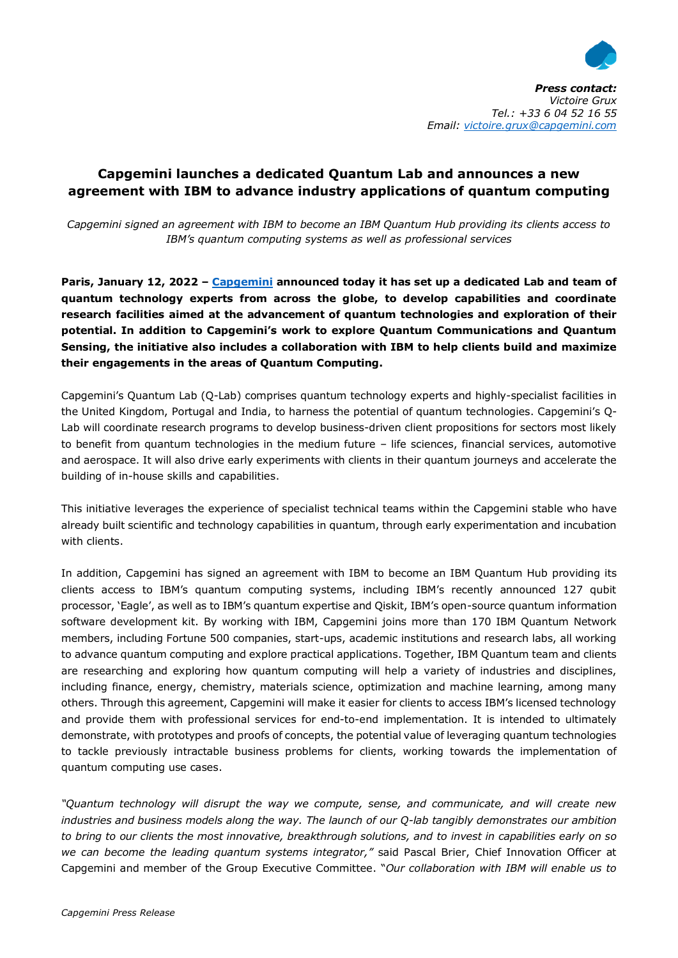

## **Capgemini launches a dedicated Quantum Lab and announces a new agreement with IBM to advance industry applications of quantum computing**

*Capgemini signed an agreement with IBM to become an IBM Quantum Hub providing its clients access to IBM's quantum computing systems as well as professional services*

**Paris, January 12, 2022 – [Capgemini](http://www.capgemini.com/) announced today it has set up a dedicated Lab and team of quantum technology experts from across the globe, to develop capabilities and coordinate research facilities aimed at the advancement of quantum technologies and exploration of their potential. In addition to Capgemini's work to explore Quantum Communications and Quantum Sensing, the initiative also includes a collaboration with IBM to help clients build and maximize their engagements in the areas of Quantum Computing.** 

Capgemini's Quantum Lab (Q-Lab) comprises quantum technology experts and highly-specialist facilities in the United Kingdom, Portugal and India, to harness the potential of quantum technologies. Capgemini's Q-Lab will coordinate research programs to develop business-driven client propositions for sectors most likely to benefit from quantum technologies in the medium future – life sciences, financial services, automotive and aerospace. It will also drive early experiments with clients in their quantum journeys and accelerate the building of in-house skills and capabilities.

This initiative leverages the experience of specialist technical teams within the Capgemini stable who have already built scientific and technology capabilities in quantum, through early experimentation and incubation with clients.

In addition, Capgemini has signed an agreement with IBM to become an IBM Quantum Hub providing its clients access to IBM's quantum computing systems, including IBM's recently announced 127 qubit processor, 'Eagle', as well as to IBM's quantum expertise and Qiskit, IBM's open-source quantum information software development kit. By working with IBM, Capgemini joins more than 170 IBM Quantum Network members, including Fortune 500 companies, start-ups, academic institutions and research labs, all working to advance quantum computing and explore practical applications. Together, IBM Quantum team and clients are researching and exploring how quantum computing will help a variety of industries and disciplines, including finance, energy, chemistry, materials science, optimization and machine learning, among many others. Through this agreement, Capgemini will make it easier for clients to access IBM's licensed technology and provide them with professional services for end-to-end implementation. It is intended to ultimately demonstrate, with prototypes and proofs of concepts, the potential value of leveraging quantum technologies to tackle previously intractable business problems for clients, working towards the implementation of quantum computing use cases.

*"Quantum technology will disrupt the way we compute, sense, and communicate, and will create new industries and business models along the way. The launch of our Q-lab tangibly demonstrates our ambition to bring to our clients the most innovative, breakthrough solutions, and to invest in capabilities early on so we can become the leading quantum systems integrator,"* said Pascal Brier, Chief Innovation Officer at Capgemini and member of the Group Executive Committee. "*Our collaboration with IBM will enable us to*